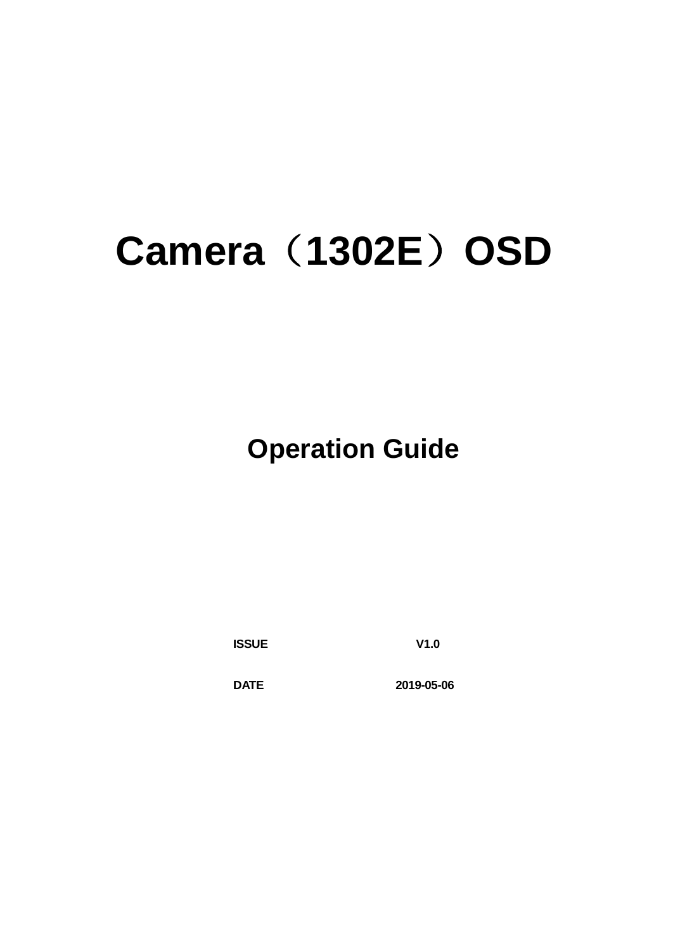## **Camera**(**1302E**)**OSD**

 **Operation Guide**

**ISSUE V1.0**

**DATE 2019-05-06**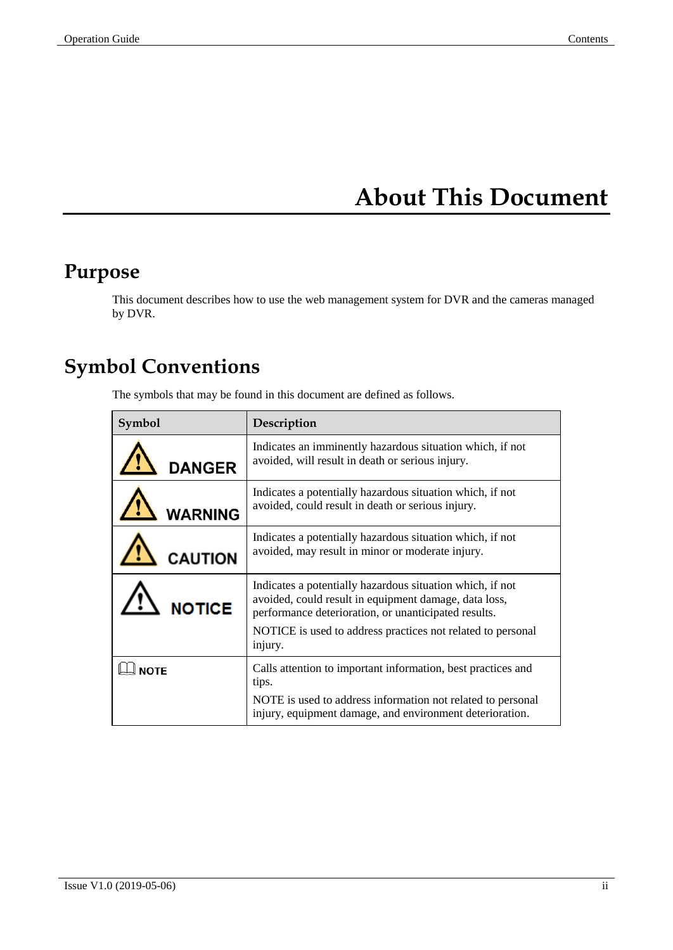## **About This Document**

## <span id="page-1-0"></span>**Purpose**

This document describes how to use the web management system for DVR and the cameras managed by DVR.

## **Symbol Conventions**

The symbols that may be found in this document are defined as follows.

| Symbol         | Description                                                                                                                                                                                                                                          |
|----------------|------------------------------------------------------------------------------------------------------------------------------------------------------------------------------------------------------------------------------------------------------|
| <b>DANGER</b>  | Indicates an imminently hazardous situation which, if not<br>avoided, will result in death or serious injury.                                                                                                                                        |
| <b>WARNING</b> | Indicates a potentially hazardous situation which, if not<br>avoided, could result in death or serious injury.                                                                                                                                       |
| <b>CAUTION</b> | Indicates a potentially hazardous situation which, if not<br>avoided, may result in minor or moderate injury.                                                                                                                                        |
| <b>NOTICE</b>  | Indicates a potentially hazardous situation which, if not<br>avoided, could result in equipment damage, data loss,<br>performance deterioration, or unanticipated results.<br>NOTICE is used to address practices not related to personal<br>injury. |
| <b>NOTE</b>    | Calls attention to important information, best practices and<br>tips.<br>NOTE is used to address information not related to personal<br>injury, equipment damage, and environment deterioration.                                                     |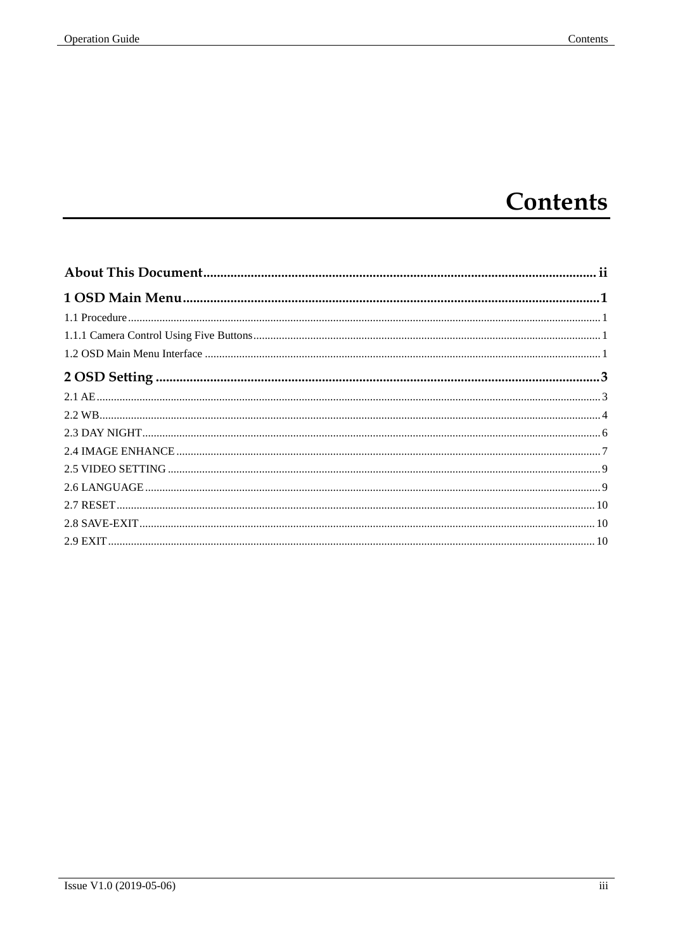## Contents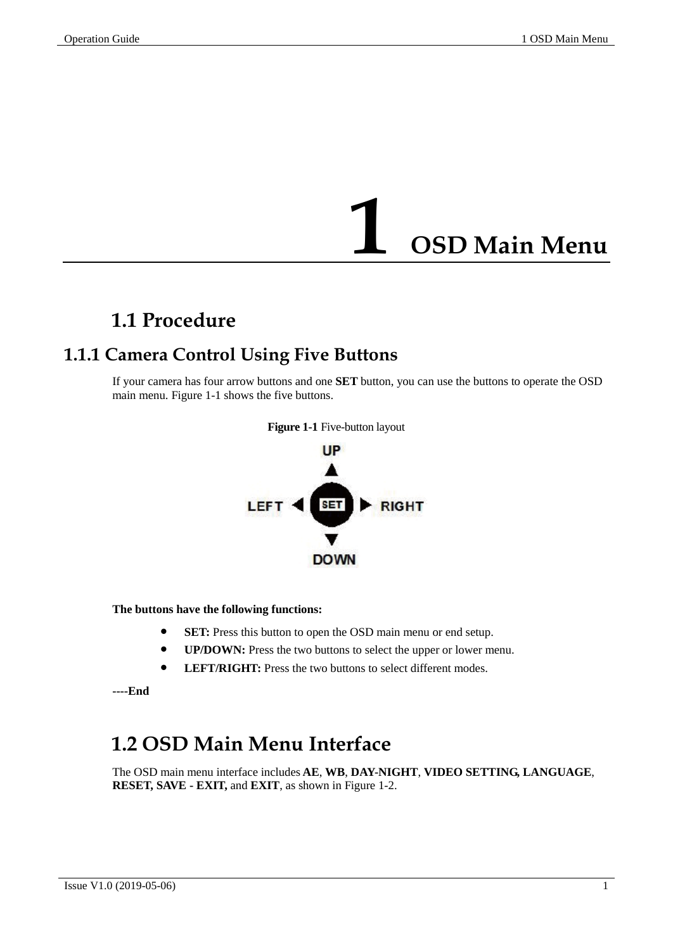## **1 OSD Main Menu**

## <span id="page-3-0"></span>**1.1 Procedure**

### <span id="page-3-2"></span><span id="page-3-1"></span>**1.1.1 Camera Control Using Five Buttons**

<span id="page-3-4"></span>If your camera has four arrow buttons and one **SET** button, you can use the buttons to operate the OSD main menu[. Figure 1-1](#page-3-4) shows the five buttons.



**The buttons have the following functions:**

- **SET:** Press this button to open the OSD main menu or end setup.
- **UP/DOWN:** Press the two buttons to select the upper or lower menu.
- **•** LEFT/RIGHT: Press the two buttons to select different modes.

**----End**

## <span id="page-3-3"></span>**1.2 OSD Main Menu Interface**

The OSD main menu interface includes **AE**, **WB**, **DAY-NIGHT**, **VIDEO SETTING, LANGUAGE**, **RESET, SAVE - EXIT,** and **EXIT**, as shown in [Figure 1-2.](#page-4-0)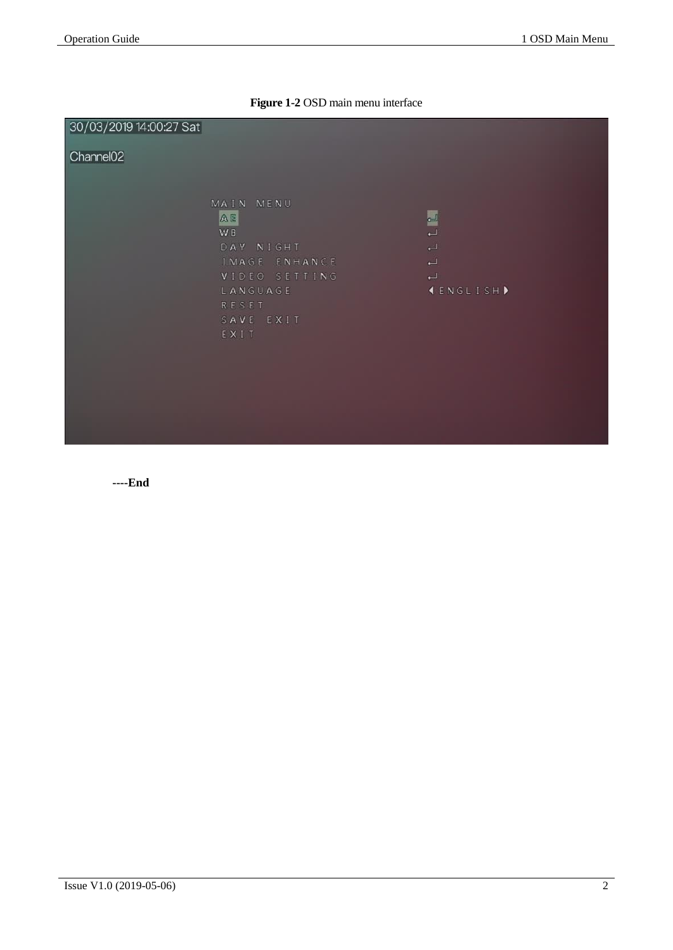|  | Figure 1-2 OSD main menu interface |  |  |  |  |
|--|------------------------------------|--|--|--|--|
|--|------------------------------------|--|--|--|--|

<span id="page-4-0"></span>

| 30/03/2019 14:00:27 Sat |                 |                          |
|-------------------------|-----------------|--------------------------|
| Channel <sub>02</sub>   |                 |                          |
|                         |                 |                          |
|                         | MAIN MENU<br>AE |                          |
|                         | W B             | LL                       |
|                         | DAY NIGHT       | ب                        |
|                         | IMAGE ENHANCE   | $\overline{\phantom{0}}$ |
|                         | VIDEO SETTING   | $\overline{\phantom{0}}$ |
|                         | LANGUAGE        | <b>IENGLISH</b>          |
|                         | RESET           |                          |
|                         | SAVE EXIT       |                          |
|                         | EXIT            |                          |
|                         |                 |                          |
|                         |                 |                          |
|                         |                 |                          |
|                         |                 |                          |
|                         |                 |                          |
|                         |                 |                          |
|                         |                 |                          |

**----End**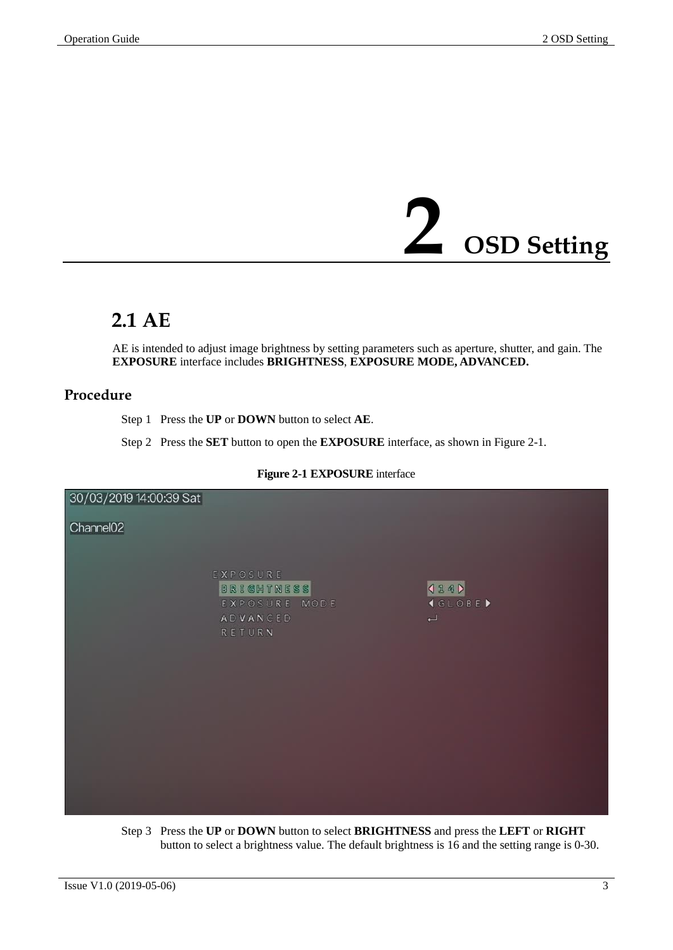# **2 OSD Setting**

## <span id="page-5-1"></span><span id="page-5-0"></span>**2.1 AE**

AE is intended to adjust image brightness by setting parameters such as aperture, shutter, and gain. The **EXPOSURE** interface includes **BRIGHTNESS**, **EXPOSURE MODE, ADVANCED.**

#### **Procedure**

Step 1 Press the **UP** or **DOWN** button to select **AE**.

Step 2 Press the **SET** button to open the **EXPOSURE** interface, as shown in [Figure](#page-5-2) 2-1.

<span id="page-5-2"></span>

#### **Figure 2-1 EXPOSURE** interface

Step 3 Press the **UP** or **DOWN** button to select **BRIGHTNESS** and press the **LEFT** or **RIGHT**  button to select a brightness value. The default brightness is 16 and the setting range is 0-30.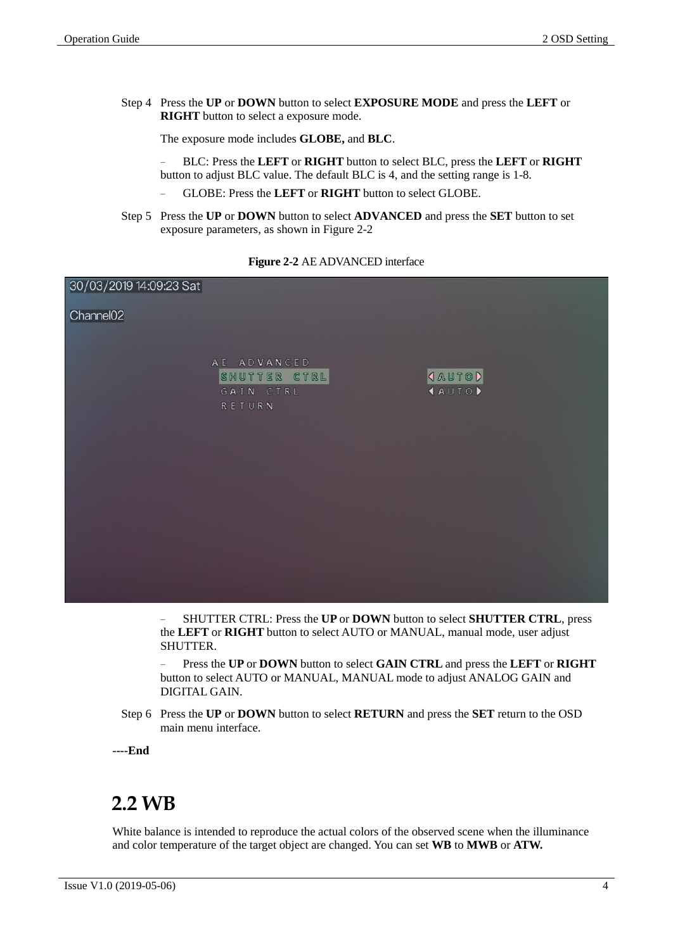Step 4 Press the **UP** or **DOWN** button to select **EXPOSURE MODE** and press the **LEFT** or **RIGHT** button to select a exposure mode.

The exposure mode includes **GLOBE,** and **BLC**.

− BLC: Press the **LEFT** or **RIGHT** button to select BLC, press the **LEFT** or **RIGHT**  button to adjust BLC value. The default BLC is 4, and the setting range is 1-8.

- − GLOBE: Press the **LEFT** or **RIGHT** button to select GLOBE.
- Step 5 Press the **UP** or **DOWN** button to select **ADVANCED** and press the **SET** button to set exposure parameters, as shown in [Figure 2-2](#page-6-1)

<span id="page-6-1"></span>

| 30/03/2019 14:09:23 Sat |                                                            |                              |
|-------------------------|------------------------------------------------------------|------------------------------|
| Channel <sub>02</sub>   |                                                            |                              |
|                         | A E A D V A N C E D<br>SHUTTER CTRL<br>GAIN CTRL<br>RETURN | <b>JAUTOD</b><br><b>AUTO</b> |
|                         |                                                            |                              |
|                         |                                                            |                              |

**Figure 2-2** AE ADVANCED interface

− SHUTTER CTRL: Press the **UP** or **DOWN** button to select **SHUTTER CTRL**, press the **LEFT** or **RIGHT** button to select AUTO or MANUAL, manual mode, user adjust SHUTTER.

− Press the **UP** or **DOWN** button to select **GAIN CTRL** and press the **LEFT** or **RIGHT**  button to select AUTO or MANUAL, MANUAL mode to adjust ANALOG GAIN and DIGITAL GAIN.

Step 6 Press the **UP** or **DOWN** button to select **RETURN** and press the **SET** return to the OSD main menu interface.

**----End**

### <span id="page-6-0"></span>**2.2 WB**

White balance is intended to reproduce the actual colors of the observed scene when the illuminance and color temperature of the target object are changed. You can set **WB** to **MWB** or **ATW.**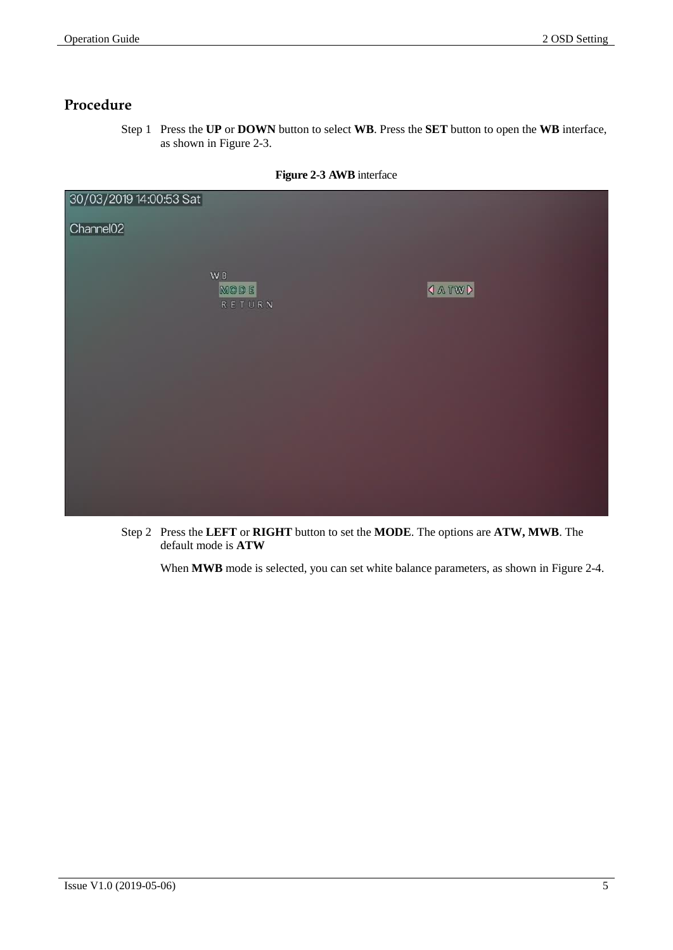#### **Procedure**

Step 1 Press the **UP** or **DOWN** button to select **WB**. Press the **SET** button to open the **WB** interface, as shown in [Figure 2-3.](#page-7-0)

<span id="page-7-0"></span>

| 30/03/2019 14:00:53 Sat |                                  |                           |
|-------------------------|----------------------------------|---------------------------|
| Channel <sub>02</sub>   |                                  |                           |
|                         |                                  |                           |
|                         | $\mathsf{W}\,\mathsf{B}$<br>MODE | <b><i><u>ATWD</u></i></b> |
|                         | RETURN                           |                           |
|                         |                                  |                           |
|                         |                                  |                           |
|                         |                                  |                           |
|                         |                                  |                           |
|                         |                                  |                           |
|                         |                                  |                           |
|                         |                                  |                           |
|                         |                                  |                           |

**Figure 2-3 AWB** interface

Step 2 Press the **LEFT** or **RIGHT** button to set the **MODE**. The options are **ATW, MWB**. The default mode is **ATW**

When **MWB** mode is selected, you can set white balance parameters, as shown in [Figure 2-4.](#page-8-1)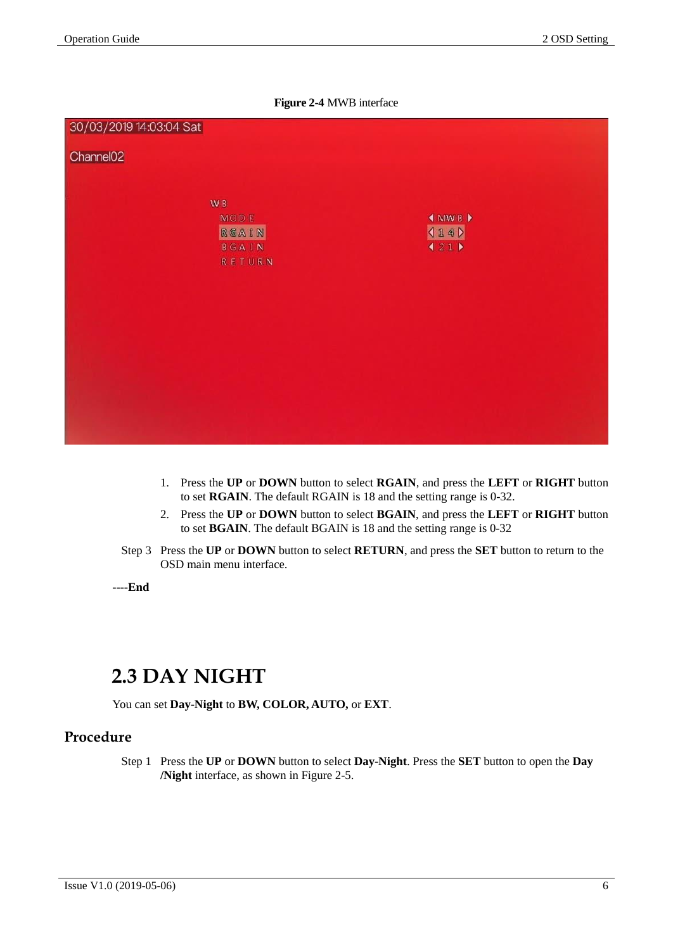

<span id="page-8-1"></span>

- 1. Press the **UP** or **DOWN** button to select **RGAIN**, and press the **LEFT** or **RIGHT** button to set **RGAIN**. The default RGAIN is 18 and the setting range is 0-32.
- 2. Press the **UP** or **DOWN** button to select **BGAIN**, and press the **LEFT** or **RIGHT** button to set **BGAIN**. The default BGAIN is 18 and the setting range is 0-32
- Step 3 Press the **UP** or **DOWN** button to select **RETURN**, and press the **SET** button to return to the OSD main menu interface.

**----End**

## <span id="page-8-0"></span>**2.3 DAY NIGHT**

You can set **Day-Night** to **BW, COLOR, AUTO,** or **EXT**.

#### **Procedure**

Step 1 Press the **UP** or **DOWN** button to select **Day-Night**. Press the **SET** button to open the **Day /Night** interface, as shown in [Figure 2-5.](#page-9-1)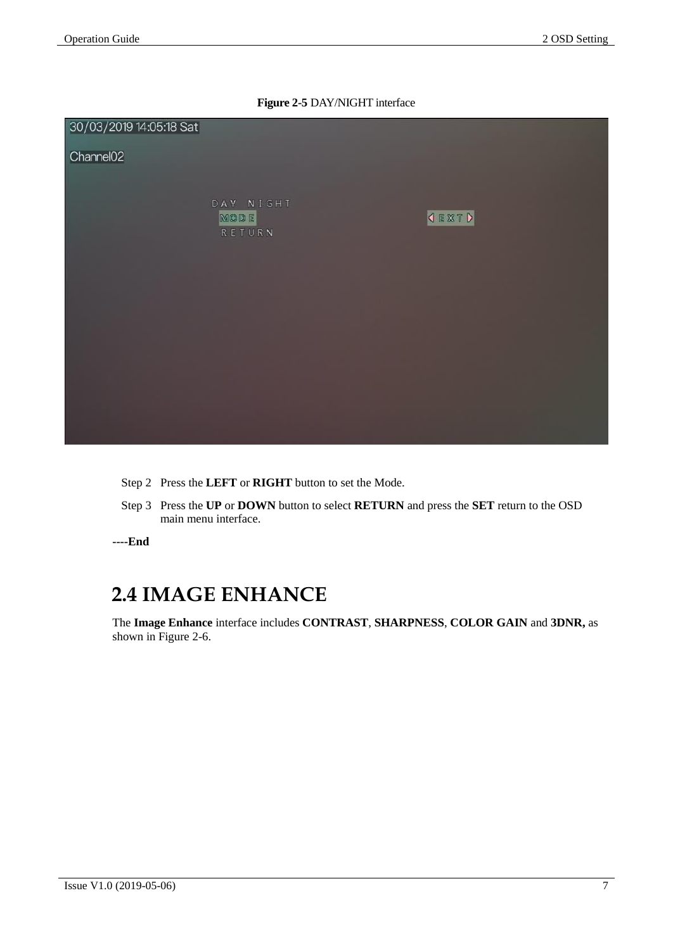

<span id="page-9-1"></span>

- Step 2 Press the **LEFT** or **RIGHT** button to set the Mode.
- Step 3 Press the **UP** or **DOWN** button to select **RETURN** and press the **SET** return to the OSD main menu interface.

**----End**

## <span id="page-9-0"></span>**2.4 IMAGE ENHANCE**

The **Image Enhance** interface includes **CONTRAST**, **SHARPNESS**, **COLOR GAIN** and **3DNR,** as shown in [Figure 2-6.](#page-10-0)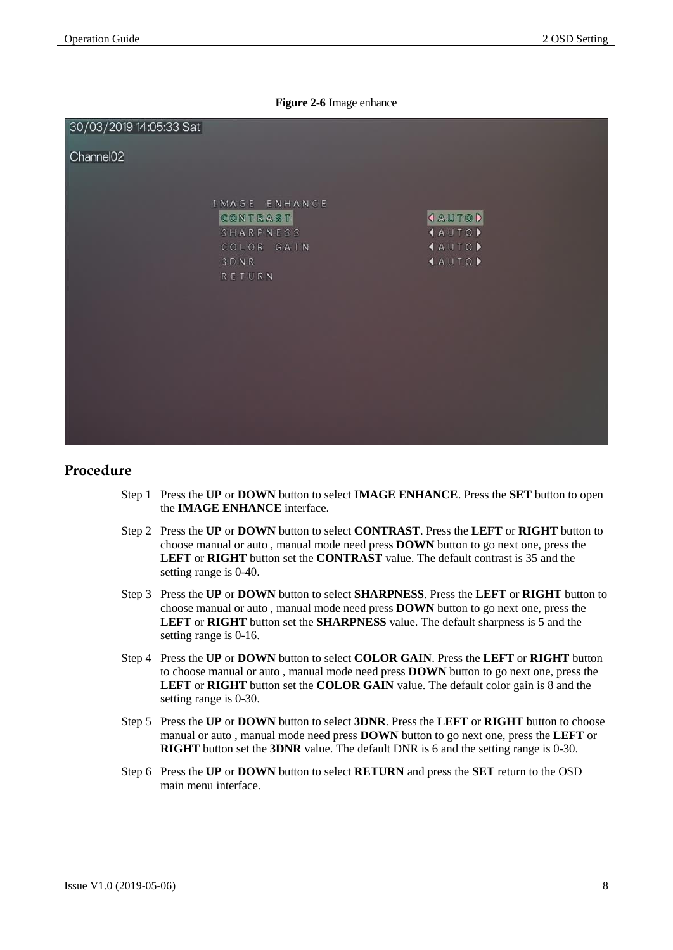#### **Figure 2-6** Image enhance

<span id="page-10-0"></span>

#### **Procedure**

- Step 1 Press the **UP** or **DOWN** button to select **IMAGE ENHANCE**. Press the **SET** button to open the **IMAGE ENHANCE** interface.
- Step 2 Press the **UP** or **DOWN** button to select **CONTRAST**. Press the **LEFT** or **RIGHT** button to choose manual or auto , manual mode need press **DOWN** button to go next one, press the **LEFT** or **RIGHT** button set the **CONTRAST** value. The default contrast is 35 and the setting range is 0-40.
- Step 3 Press the **UP** or **DOWN** button to select **SHARPNESS**. Press the **LEFT** or **RIGHT** button to choose manual or auto , manual mode need press **DOWN** button to go next one, press the **LEFT** or **RIGHT** button set the **SHARPNESS** value. The default sharpness is 5 and the setting range is 0-16.
- Step 4 Press the **UP** or **DOWN** button to select **COLOR GAIN**. Press the **LEFT** or **RIGHT** button to choose manual or auto , manual mode need press **DOWN** button to go next one, press the **LEFT** or **RIGHT** button set the **COLOR GAIN** value. The default color gain is 8 and the setting range is 0-30.
- Step 5 Press the **UP** or **DOWN** button to select **3DNR**. Press the **LEFT** or **RIGHT** button to choose manual or auto , manual mode need press **DOWN** button to go next one, press the **LEFT** or **RIGHT** button set the **3DNR** value. The default DNR is 6 and the setting range is 0-30.
- Step 6 Press the **UP** or **DOWN** button to select **RETURN** and press the **SET** return to the OSD main menu interface.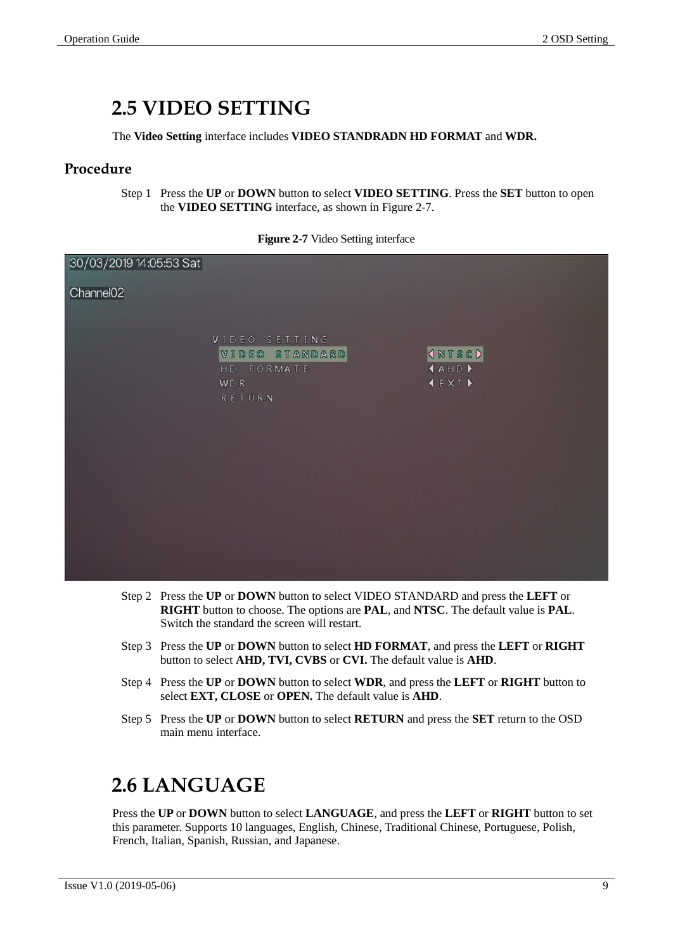## <span id="page-11-0"></span>**2.5 VIDEO SETTING**

The **Video Setting** interface includes **VIDEO STANDRADN HD FORMAT** and **WDR.**

#### **Procedure**

Step 1 Press the **UP** or **DOWN** button to select **VIDEO SETTING**. Press the **SET** button to open the **VIDEO SETTING** interface, as shown in [Figure 2-7.](#page-11-2)

<span id="page-11-2"></span>

| 30/03/2019 14:05:53 Sat |                                                                |                                                                               |
|-------------------------|----------------------------------------------------------------|-------------------------------------------------------------------------------|
| Channel <sub>02</sub>   |                                                                |                                                                               |
|                         | VIDEO SETTING<br>VIDEO STANDARD<br>HD FORMATE<br>WDR<br>RETURN | <b>INTSCD</b><br><b>AHD</b><br>$\blacktriangleleft$ EXT $\blacktriangleright$ |
|                         |                                                                |                                                                               |
|                         |                                                                |                                                                               |

| Figure 2-7 Video Setting interface |  |  |
|------------------------------------|--|--|
|                                    |  |  |

- Step 2 Press the **UP** or **DOWN** button to select VIDEO STANDARD and press the **LEFT** or **RIGHT** button to choose. The options are **PAL**, and **NTSC**. The default value is **PAL**. Switch the standard the screen will restart.
- Step 3 Press the **UP** or **DOWN** button to select **HD FORMAT**, and press the **LEFT** or **RIGHT** button to select **AHD, TVI, CVBS** or **CVI.** The default value is **AHD**.
- Step 4 Press the **UP** or **DOWN** button to select **WDR**, and press the **LEFT** or **RIGHT** button to select **EXT, CLOSE** or **OPEN.** The default value is **AHD**.
- Step 5 Press the **UP** or **DOWN** button to select **RETURN** and press the **SET** return to the OSD main menu interface.

## <span id="page-11-1"></span>**2.6 LANGUAGE**

Press the **UP** or **DOWN** button to select **LANGUAGE**, and press the **LEFT** or **RIGHT** button to set this parameter. Supports 10 languages, English, Chinese, Traditional Chinese, Portuguese, Polish, French, Italian, Spanish, Russian, and Japanese.